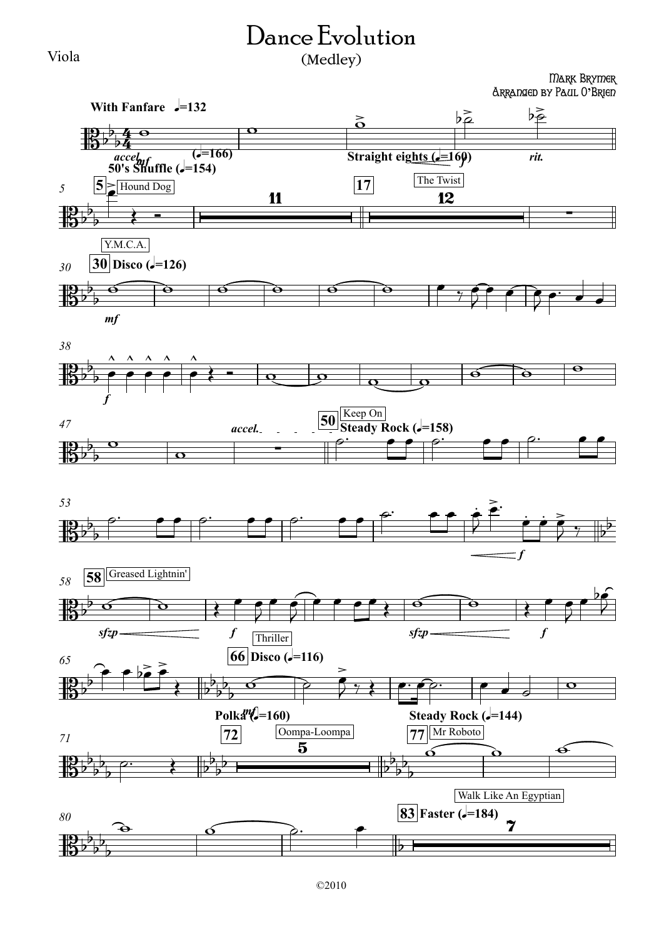## Dance Evolution (Medley)

Viola

## Mark Brymer Arranged by Paul O**'**Brien